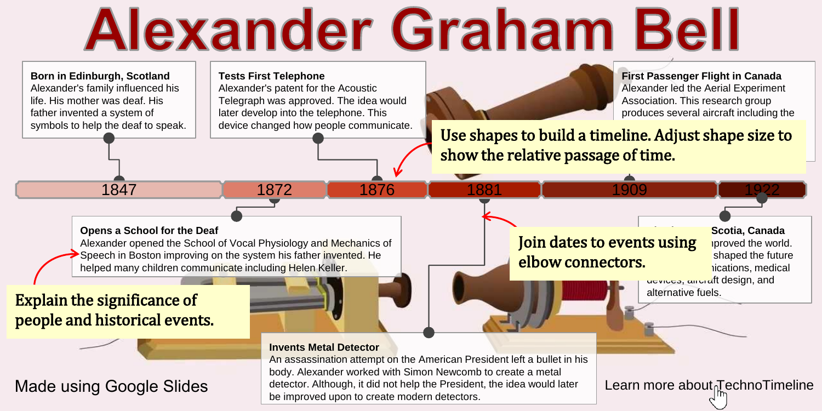# **Alexander Graham Bell**